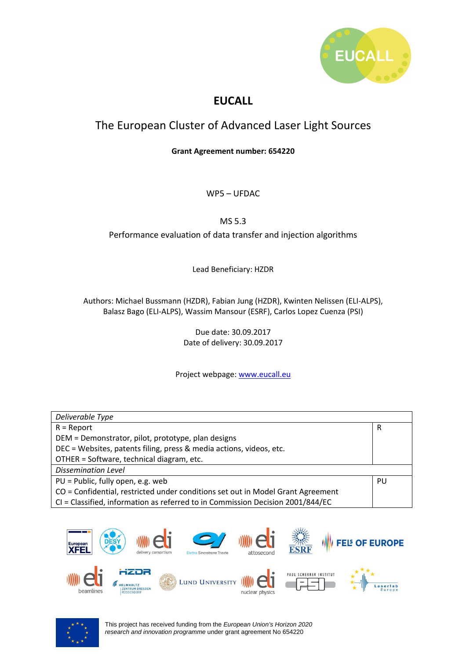

# **EUCALL**

# The European Cluster of Advanced Laser Light Sources

**Grant Agreement number: 654220** 

WP5 – UFDAC

MS 5.3

Performance evaluation of data transfer and injection algorithms

Lead Beneficiary: HZDR

Authors: Michael Bussmann (HZDR), Fabian Jung (HZDR), Kwinten Nelissen (ELI-ALPS), Balasz Bago (ELI-ALPS), Wassim Mansour (ESRF), Carlos Lopez Cuenza (PSI)

> Due date: 30.09.2017 Date of delivery: 30.09.2017

Project webpage: www.eucall.eu

| Deliverable Type                                                                |    |
|---------------------------------------------------------------------------------|----|
| $R =$ Report                                                                    | R  |
| DEM = Demonstrator, pilot, prototype, plan designs                              |    |
| DEC = Websites, patents filing, press & media actions, videos, etc.             |    |
| OTHER = Software, technical diagram, etc.                                       |    |
| <b>Dissemination Level</b>                                                      |    |
| PU = Public, fully open, e.g. web                                               | PU |
| CO = Confidential, restricted under conditions set out in Model Grant Agreement |    |
| CI = Classified, information as referred to in Commission Decision 2001/844/EC  |    |



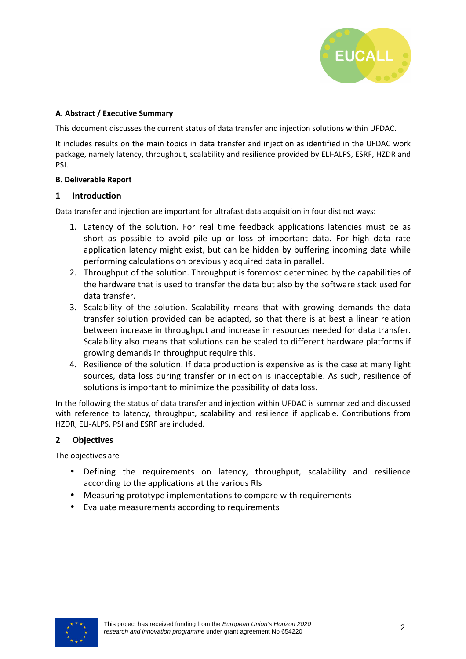

## **A. Abstract / Executive Summary**

This document discusses the current status of data transfer and injection solutions within UFDAC.

It includes results on the main topics in data transfer and injection as identified in the UFDAC work package, namely latency, throughput, scalability and resilience provided by ELI-ALPS, ESRF, HZDR and PSI.

## **B. Deliverable Report**

## **1 Introduction**

Data transfer and injection are important for ultrafast data acquisition in four distinct ways:

- 1. Latency of the solution. For real time feedback applications latencies must be as short as possible to avoid pile up or loss of important data. For high data rate application latency might exist, but can be hidden by buffering incoming data while performing calculations on previously acquired data in parallel.
- 2. Throughput of the solution. Throughput is foremost determined by the capabilities of the hardware that is used to transfer the data but also by the software stack used for data transfer.
- 3. Scalability of the solution. Scalability means that with growing demands the data transfer solution provided can be adapted, so that there is at best a linear relation between increase in throughput and increase in resources needed for data transfer. Scalability also means that solutions can be scaled to different hardware platforms if growing demands in throughput require this.
- 4. Resilience of the solution. If data production is expensive as is the case at many light sources, data loss during transfer or injection is inacceptable. As such, resilience of solutions is important to minimize the possibility of data loss.

In the following the status of data transfer and injection within UFDAC is summarized and discussed with reference to latency, throughput, scalability and resilience if applicable. Contributions from HZDR, ELI-ALPS, PSI and ESRF are included.

# **2 Objectives**

The objectives are

- Defining the requirements on latency, throughput, scalability and resilience according to the applications at the various RIs
- Measuring prototype implementations to compare with requirements
- Evaluate measurements according to requirements

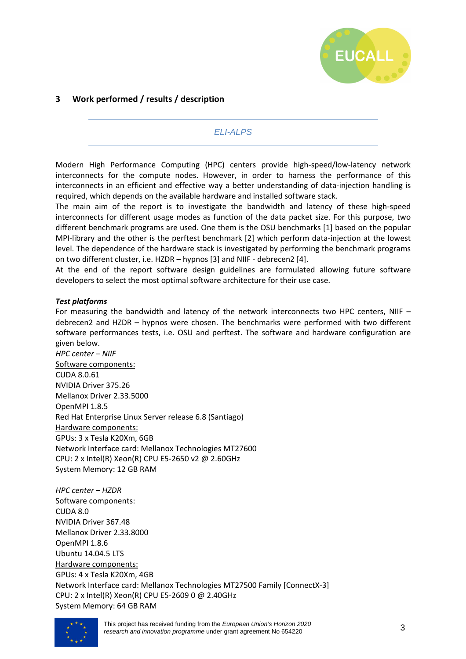

# **3 Work performed / results / description**

# ELI-ALPS

Modern High Performance Computing (HPC) centers provide high-speed/low-latency network interconnects for the compute nodes. However, in order to harness the performance of this interconnects in an efficient and effective way a better understanding of data-injection handling is required, which depends on the available hardware and installed software stack.

The main aim of the report is to investigate the bandwidth and latency of these high-speed interconnects for different usage modes as function of the data packet size. For this purpose, two different benchmark programs are used. One them is the OSU benchmarks [1] based on the popular MPI-library and the other is the perftest benchmark [2] which perform data-injection at the lowest level. The dependence of the hardware stack is investigated by performing the benchmark programs on two different cluster, i.e. HZDR – hypnos [3] and NIIF - debrecen2 [4].

At the end of the report software design guidelines are formulated allowing future software developers to select the most optimal software architecture for their use case.

#### *Test platforms*

For measuring the bandwidth and latency of the network interconnects two HPC centers, NIIF – debrecen2 and HZDR – hypnos were chosen. The benchmarks were performed with two different software performances tests, i.e. OSU and perftest. The software and hardware configuration are given below.

*HPC center – NIIF*  Software components: CUDA 8.0.61 NVIDIA Driver 375.26 Mellanox Driver 2.33.5000 OpenMPI 1.8.5 Red Hat Enterprise Linux Server release 6.8 (Santiago) Hardware components: GPUs: 3 x Tesla K20Xm, 6GB Network Interface card: Mellanox Technologies MT27600 CPU: 2 x Intel(R) Xeon(R) CPU E5-2650 v2 @ 2.60GHz System Memory: 12 GB RAM

*HPC center – HZDR*  Software components: CUDA 8.0 NVIDIA Driver 367.48 Mellanox Driver 2.33.8000 OpenMPI 1.8.6 Ubuntu 14.04.5 LTS Hardware components: GPUs: 4 x Tesla K20Xm, 4GB Network Interface card: Mellanox Technologies MT27500 Family [ConnectX-3] CPU: 2 x Intel(R) Xeon(R) CPU E5-2609 0 @ 2.40GHz System Memory: 64 GB RAM



This project has received funding from the European Union's Horizon 2020 research and innovation programme under grant agreement No 654220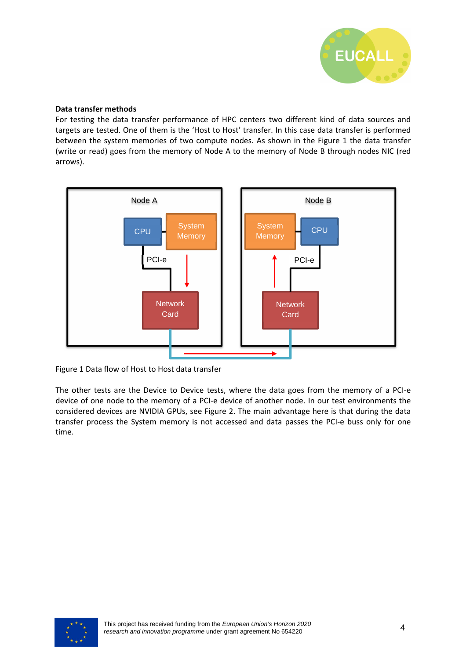

#### **Data transfer methods**

For testing the data transfer performance of HPC centers two different kind of data sources and targets are tested. One of them is the 'Host to Host' transfer. In this case data transfer is performed between the system memories of two compute nodes. As shown in the Figure 1 the data transfer (write or read) goes from the memory of Node A to the memory of Node B through nodes NIC (red arrows).



Figure 1 Data flow of Host to Host data transfer

The other tests are the Device to Device tests, where the data goes from the memory of a PCI-e device of one node to the memory of a PCI-e device of another node. In our test environments the considered devices are NVIDIA GPUs, see Figure 2. The main advantage here is that during the data transfer process the System memory is not accessed and data passes the PCI-e buss only for one time.

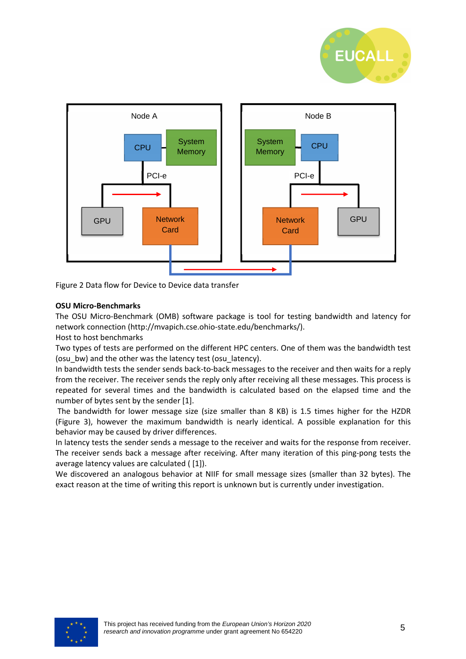



Figure 2 Data flow for Device to Device data transfer

#### **OSU Micro-Benchmarks**

The OSU Micro-Benchmark (OMB) software package is tool for testing bandwidth and latency for network connection (http://mvapich.cse.ohio-state.edu/benchmarks/).

Host to host benchmarks

Two types of tests are performed on the different HPC centers. One of them was the bandwidth test (osu\_bw) and the other was the latency test (osu\_latency).

In bandwidth tests the sender sends back-to-back messages to the receiver and then waits for a reply from the receiver. The receiver sends the reply only after receiving all these messages. This process is repeated for several times and the bandwidth is calculated based on the elapsed time and the number of bytes sent by the sender [1].

 The bandwidth for lower message size (size smaller than 8 KB) is 1.5 times higher for the HZDR (Figure 3), however the maximum bandwidth is nearly identical. A possible explanation for this behavior may be caused by driver differences.

In latency tests the sender sends a message to the receiver and waits for the response from receiver. The receiver sends back a message after receiving. After many iteration of this ping-pong tests the average latency values are calculated ( [1]).

We discovered an analogous behavior at NIIF for small message sizes (smaller than 32 bytes). The exact reason at the time of writing this report is unknown but is currently under investigation.

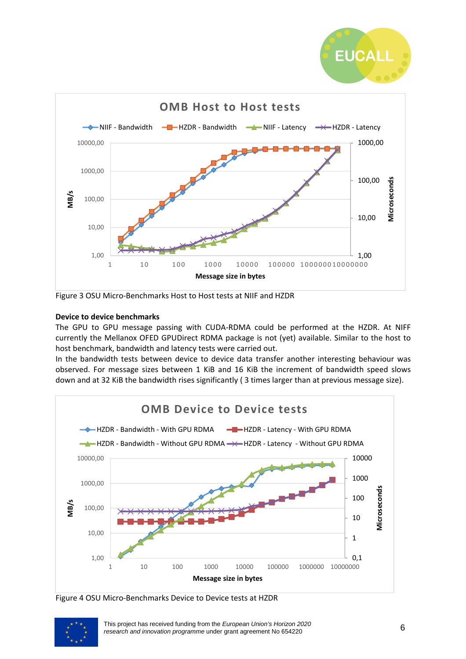



Figure 3 OSU Micro-Benchmarks Host to Host tests at NIIF and HZDR

# **Device to device benchmarks**

The GPU to GPU message passing with CUDA-RDMA could be performed at the HZDR. At NIFF currently the Mellanox OFED GPUDirect RDMA package is not (yet) available. Similar to the host to host benchmark, bandwidth and latency tests were carried out.

In the bandwidth tests between device to device data transfer another interesting behaviour was observed. For message sizes between 1 KiB and 16 KiB the increment of bandwidth speed slows down and at 32 KiB the bandwidth rises significantly ( 3 times larger than at previous message size).



Figure 4 OSU Micro-Benchmarks Device to Device tests at HZDR

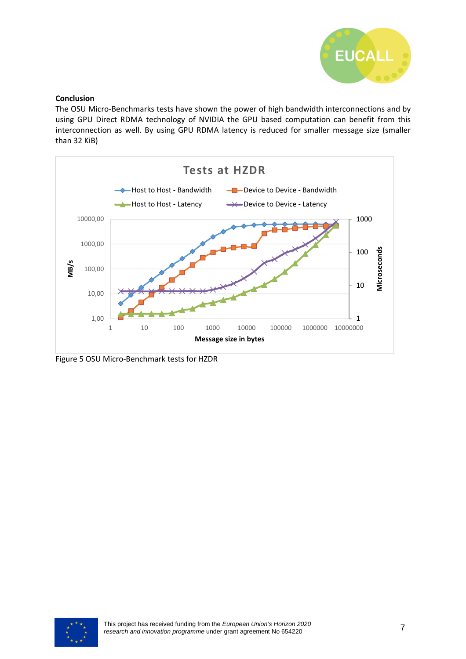

#### **Conclusion**

The OSU Micro-Benchmarks tests have shown the power of high bandwidth interconnections and by using GPU Direct RDMA technology of NVIDIA the GPU based computation can benefit from this interconnection as well. By using GPU RDMA latency is reduced for smaller message size (smaller than 32 KiB)



Figure 5 OSU Micro-Benchmark tests for HZDR

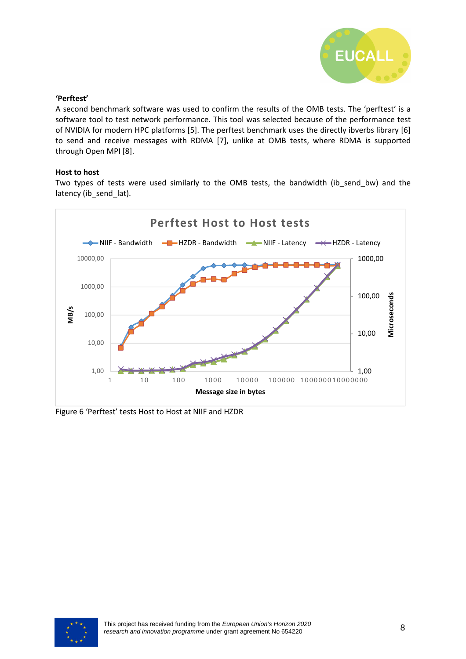

## **'Perftest'**

A second benchmark software was used to confirm the results of the OMB tests. The 'perftest' is a software tool to test network performance. This tool was selected because of the performance test of NVIDIA for modern HPC platforms [5]. The perftest benchmark uses the directly ibverbs library [6] to send and receive messages with RDMA [7], unlike at OMB tests, where RDMA is supported through Open MPI [8].

#### **Host to host**

Two types of tests were used similarly to the OMB tests, the bandwidth (ib\_send\_bw) and the latency (ib\_send\_lat).



Figure 6 'Perftest' tests Host to Host at NIIF and HZDR

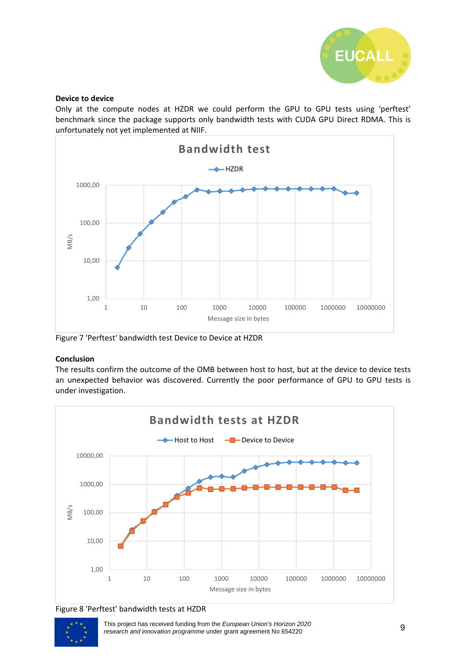

#### **Device to device**

Only at the compute nodes at HZDR we could perform the GPU to GPU tests using 'perftest' benchmark since the package supports only bandwidth tests with CUDA GPU Direct RDMA. This is unfortunately not yet implemented at NIIF.



Figure 7 'Perftest' bandwidth test Device to Device at HZDR

# **Conclusion**

The results confirm the outcome of the OMB between host to host, but at the device to device tests an unexpected behavior was discovered. Currently the poor performance of GPU to GPU tests is under investigation.







This project has received funding from the European Union's Horizon 2020 research and innovation programme under grant agreement No 654220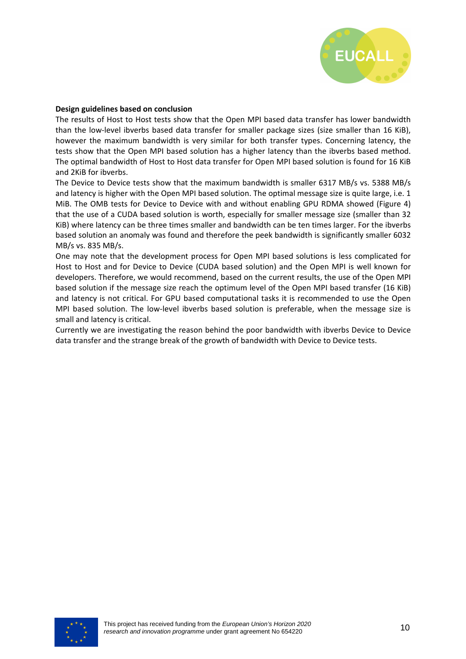

#### **Design guidelines based on conclusion**

The results of Host to Host tests show that the Open MPI based data transfer has lower bandwidth than the low-level ibverbs based data transfer for smaller package sizes (size smaller than 16 KiB), however the maximum bandwidth is very similar for both transfer types. Concerning latency, the tests show that the Open MPI based solution has a higher latency than the ibverbs based method. The optimal bandwidth of Host to Host data transfer for Open MPI based solution is found for 16 KiB and 2KiB for ibverbs.

The Device to Device tests show that the maximum bandwidth is smaller 6317 MB/s vs. 5388 MB/s and latency is higher with the Open MPI based solution. The optimal message size is quite large, i.e. 1 MiB. The OMB tests for Device to Device with and without enabling GPU RDMA showed (Figure 4) that the use of a CUDA based solution is worth, especially for smaller message size (smaller than 32 KiB) where latency can be three times smaller and bandwidth can be ten times larger. For the ibverbs based solution an anomaly was found and therefore the peek bandwidth is significantly smaller 6032 MB/s vs. 835 MB/s.

One may note that the development process for Open MPI based solutions is less complicated for Host to Host and for Device to Device (CUDA based solution) and the Open MPI is well known for developers. Therefore, we would recommend, based on the current results, the use of the Open MPI based solution if the message size reach the optimum level of the Open MPI based transfer (16 KiB) and latency is not critical. For GPU based computational tasks it is recommended to use the Open MPI based solution. The low-level ibverbs based solution is preferable, when the message size is small and latency is critical.

Currently we are investigating the reason behind the poor bandwidth with ibverbs Device to Device data transfer and the strange break of the growth of bandwidth with Device to Device tests.

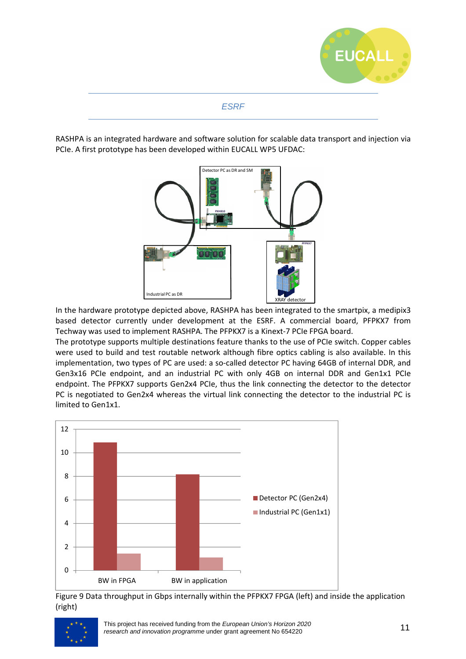

# ESRF

RASHPA is an integrated hardware and software solution for scalable data transport and injection via PCIe. A first prototype has been developed within EUCALL WP5 UFDAC:



In the hardware prototype depicted above, RASHPA has been integrated to the smartpix, a medipix3 based detector currently under development at the ESRF. A commercial board, PFPKX7 from Techway was used to implement RASHPA. The PFPKX7 is a Kinext-7 PCIe FPGA board.

The prototype supports multiple destinations feature thanks to the use of PCIe switch. Copper cables were used to build and test routable network although fibre optics cabling is also available. In this implementation, two types of PC are used: a so-called detector PC having 64GB of internal DDR, and Gen3x16 PCIe endpoint, and an industrial PC with only 4GB on internal DDR and Gen1x1 PCIe endpoint. The PFPKX7 supports Gen2x4 PCIe, thus the link connecting the detector to the detector PC is negotiated to Gen2x4 whereas the virtual link connecting the detector to the industrial PC is limited to Gen1x1.



Figure 9 Data throughput in Gbps internally within the PFPKX7 FPGA (left) and inside the application (right)

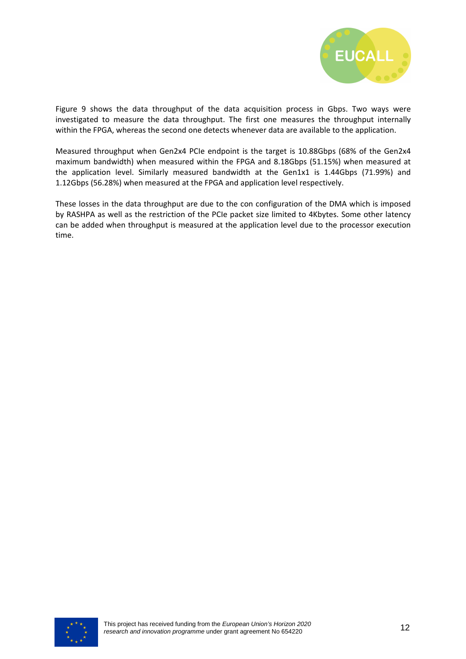

Figure 9 shows the data throughput of the data acquisition process in Gbps. Two ways were investigated to measure the data throughput. The first one measures the throughput internally within the FPGA, whereas the second one detects whenever data are available to the application.

Measured throughput when Gen2x4 PCIe endpoint is the target is 10.88Gbps (68% of the Gen2x4 maximum bandwidth) when measured within the FPGA and 8.18Gbps (51.15%) when measured at the application level. Similarly measured bandwidth at the Gen1x1 is 1.44Gbps (71.99%) and 1.12Gbps (56.28%) when measured at the FPGA and application level respectively.

These losses in the data throughput are due to the con configuration of the DMA which is imposed by RASHPA as well as the restriction of the PCIe packet size limited to 4Kbytes. Some other latency can be added when throughput is measured at the application level due to the processor execution time.

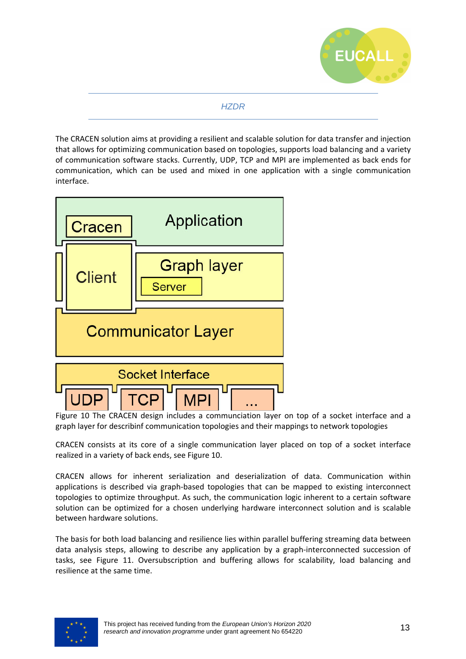

# **HZDR**

The CRACEN solution aims at providing a resilient and scalable solution for data transfer and injection that allows for optimizing communication based on topologies, supports load balancing and a variety of communication software stacks. Currently, UDP, TCP and MPI are implemented as back ends for communication, which can be used and mixed in one application with a single communication interface.



Figure 10 The CRACEN design includes a communciation layer on top of a socket interface and a graph layer for describinf communication topologies and their mappings to network topologies

CRACEN consists at its core of a single communication layer placed on top of a socket interface realized in a variety of back ends, see Figure 10.

CRACEN allows for inherent serialization and deserialization of data. Communication within applications is described via graph-based topologies that can be mapped to existing interconnect topologies to optimize throughput. As such, the communication logic inherent to a certain software solution can be optimized for a chosen underlying hardware interconnect solution and is scalable between hardware solutions.

The basis for both load balancing and resilience lies within parallel buffering streaming data between data analysis steps, allowing to describe any application by a graph-interconnected succession of tasks, see Figure 11. Oversubscription and buffering allows for scalability, load balancing and resilience at the same time.

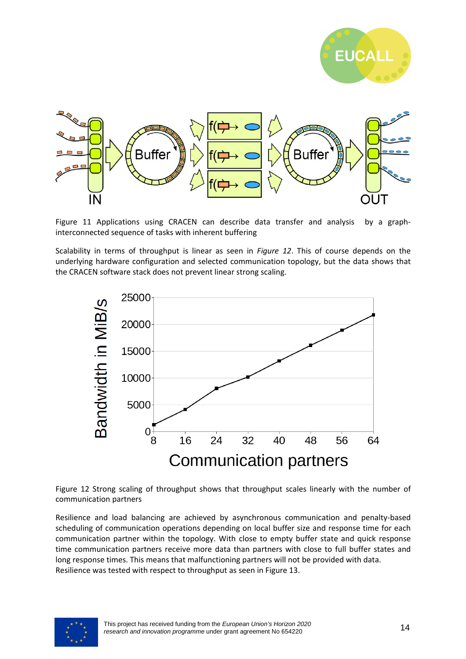



Figure 11 Applications using CRACEN can describe data transfer and analysis by a graphinterconnected sequence of tasks with inherent buffering

Scalability in terms of throughput is linear as seen in *Figure 12*. This of course depends on the underlying hardware configuration and selected communication topology, but the data shows that the CRACEN software stack does not prevent linear strong scaling.



Figure 12 Strong scaling of throughput shows that throughput scales linearly with the number of communication partners

Resilience and load balancing are achieved by asynchronous communication and penalty-based scheduling of communication operations depending on local buffer size and response time for each communication partner within the topology. With close to empty buffer state and quick response time communication partners receive more data than partners with close to full buffer states and long response times. This means that malfunctioning partners will not be provided with data. Resilience was tested with respect to throughput as seen in Figure 13.

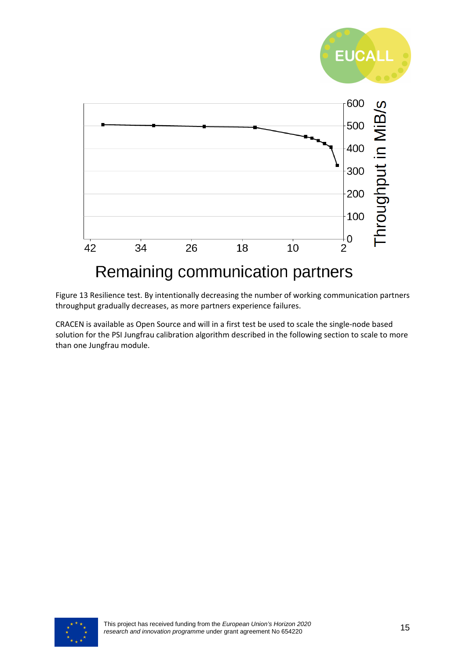

Figure 13 Resilience test. By intentionally decreasing the number of working communication partners throughput gradually decreases, as more partners experience failures.

CRACEN is available as Open Source and will in a first test be used to scale the single-node based solution for the PSI Jungfrau calibration algorithm described in the following section to scale to more than one Jungfrau module.

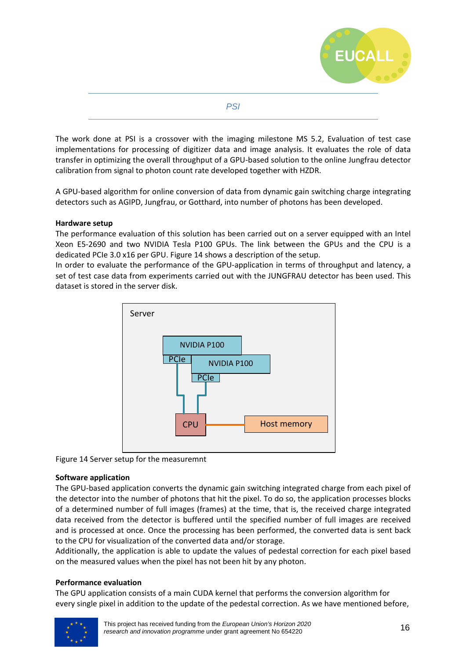

**PSI** 

The work done at PSI is a crossover with the imaging milestone MS 5.2, Evaluation of test case implementations for processing of digitizer data and image analysis. It evaluates the role of data transfer in optimizing the overall throughput of a GPU-based solution to the online Jungfrau detector calibration from signal to photon count rate developed together with HZDR.

A GPU-based algorithm for online conversion of data from dynamic gain switching charge integrating detectors such as AGIPD, Jungfrau, or Gotthard, into number of photons has been developed.

#### **Hardware setup**

The performance evaluation of this solution has been carried out on a server equipped with an Intel Xeon E5-2690 and two NVIDIA Tesla P100 GPUs. The link between the GPUs and the CPU is a dedicated PCIe 3.0 x16 per GPU. Figure 14 shows a description of the setup.

In order to evaluate the performance of the GPU-application in terms of throughput and latency, a set of test case data from experiments carried out with the JUNGFRAU detector has been used. This dataset is stored in the server disk.



Figure 14 Server setup for the measuremnt

#### **Software application**

The GPU-based application converts the dynamic gain switching integrated charge from each pixel of the detector into the number of photons that hit the pixel. To do so, the application processes blocks of a determined number of full images (frames) at the time, that is, the received charge integrated data received from the detector is buffered until the specified number of full images are received and is processed at once. Once the processing has been performed, the converted data is sent back to the CPU for visualization of the converted data and/or storage.

Additionally, the application is able to update the values of pedestal correction for each pixel based on the measured values when the pixel has not been hit by any photon.

#### **Performance evaluation**

The GPU application consists of a main CUDA kernel that performs the conversion algorithm for every single pixel in addition to the update of the pedestal correction. As we have mentioned before,

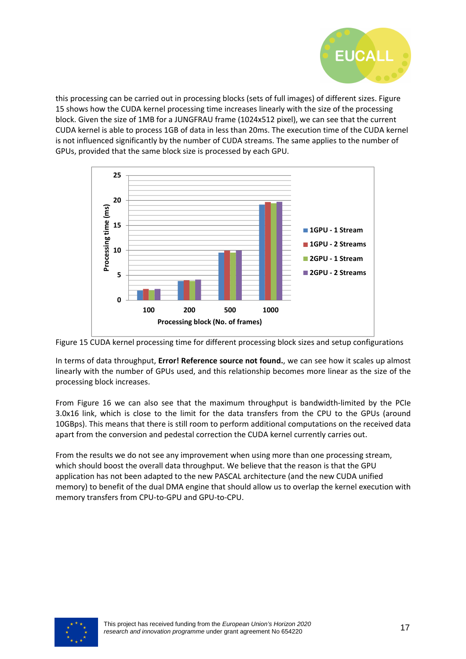

this processing can be carried out in processing blocks (sets of full images) of different sizes. Figure 15 shows how the CUDA kernel processing time increases linearly with the size of the processing block. Given the size of 1MB for a JUNGFRAU frame (1024x512 pixel), we can see that the current CUDA kernel is able to process 1GB of data in less than 20ms. The execution time of the CUDA kernel is not influenced significantly by the number of CUDA streams. The same applies to the number of GPUs, provided that the same block size is processed by each GPU.





In terms of data throughput, **Error! Reference source not found.**, we can see how it scales up almost linearly with the number of GPUs used, and this relationship becomes more linear as the size of the processing block increases.

From Figure 16 we can also see that the maximum throughput is bandwidth-limited by the PCIe 3.0x16 link, which is close to the limit for the data transfers from the CPU to the GPUs (around 10GBps). This means that there is still room to perform additional computations on the received data apart from the conversion and pedestal correction the CUDA kernel currently carries out.

From the results we do not see any improvement when using more than one processing stream, which should boost the overall data throughput. We believe that the reason is that the GPU application has not been adapted to the new PASCAL architecture (and the new CUDA unified memory) to benefit of the dual DMA engine that should allow us to overlap the kernel execution with memory transfers from CPU-to-GPU and GPU-to-CPU.

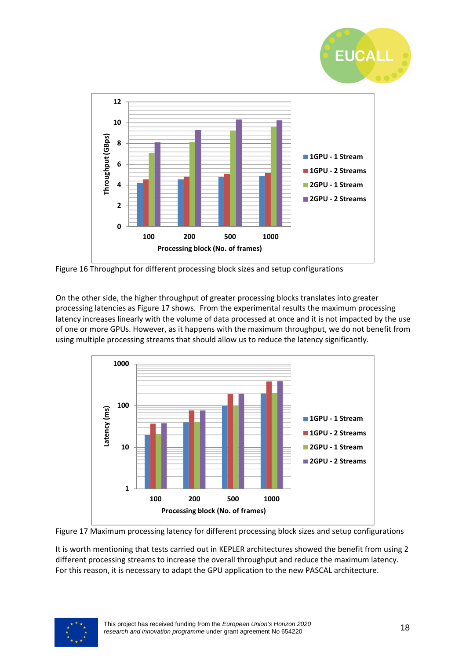



Figure 16 Throughput for different processing block sizes and setup configurations

On the other side, the higher throughput of greater processing blocks translates into greater processing latencies as Figure 17 shows. From the experimental results the maximum processing latency increases linearly with the volume of data processed at once and it is not impacted by the use of one or more GPUs. However, as it happens with the maximum throughput, we do not benefit from using multiple processing streams that should allow us to reduce the latency significantly.





It is worth mentioning that tests carried out in KEPLER architectures showed the benefit from using 2 different processing streams to increase the overall throughput and reduce the maximum latency. For this reason, it is necessary to adapt the GPU application to the new PASCAL architecture.

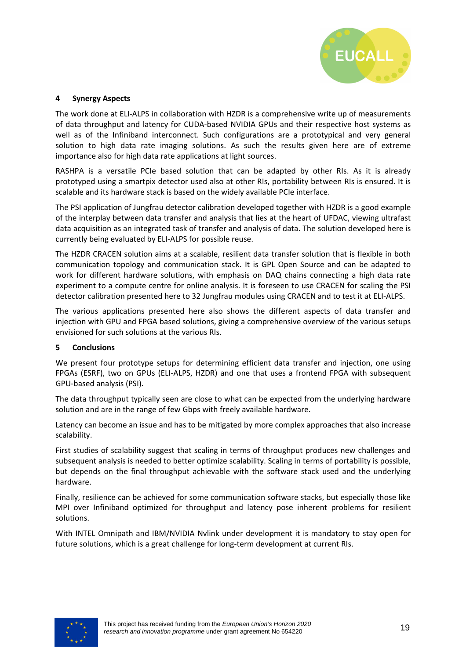

#### **4 Synergy Aspects**

The work done at ELI-ALPS in collaboration with HZDR is a comprehensive write up of measurements of data throughput and latency for CUDA-based NVIDIA GPUs and their respective host systems as well as of the Infiniband interconnect. Such configurations are a prototypical and very general solution to high data rate imaging solutions. As such the results given here are of extreme importance also for high data rate applications at light sources.

RASHPA is a versatile PCIe based solution that can be adapted by other RIs. As it is already prototyped using a smartpix detector used also at other RIs, portability between RIs is ensured. It is scalable and its hardware stack is based on the widely available PCIe interface.

The PSI application of Jungfrau detector calibration developed together with HZDR is a good example of the interplay between data transfer and analysis that lies at the heart of UFDAC, viewing ultrafast data acquisition as an integrated task of transfer and analysis of data. The solution developed here is currently being evaluated by ELI-ALPS for possible reuse.

The HZDR CRACEN solution aims at a scalable, resilient data transfer solution that is flexible in both communication topology and communication stack. It is GPL Open Source and can be adapted to work for different hardware solutions, with emphasis on DAQ chains connecting a high data rate experiment to a compute centre for online analysis. It is foreseen to use CRACEN for scaling the PSI detector calibration presented here to 32 Jungfrau modules using CRACEN and to test it at ELI-ALPS.

The various applications presented here also shows the different aspects of data transfer and injection with GPU and FPGA based solutions, giving a comprehensive overview of the various setups envisioned for such solutions at the various RIs.

#### **5 Conclusions**

We present four prototype setups for determining efficient data transfer and injection, one using FPGAs (ESRF), two on GPUs (ELI-ALPS, HZDR) and one that uses a frontend FPGA with subsequent GPU-based analysis (PSI).

The data throughput typically seen are close to what can be expected from the underlying hardware solution and are in the range of few Gbps with freely available hardware.

Latency can become an issue and has to be mitigated by more complex approaches that also increase scalability.

First studies of scalability suggest that scaling in terms of throughput produces new challenges and subsequent analysis is needed to better optimize scalability. Scaling in terms of portability is possible, but depends on the final throughput achievable with the software stack used and the underlying hardware.

Finally, resilience can be achieved for some communication software stacks, but especially those like MPI over Infiniband optimized for throughput and latency pose inherent problems for resilient solutions.

With INTEL Omnipath and IBM/NVIDIA Nvlink under development it is mandatory to stay open for future solutions, which is a great challenge for long-term development at current RIs.